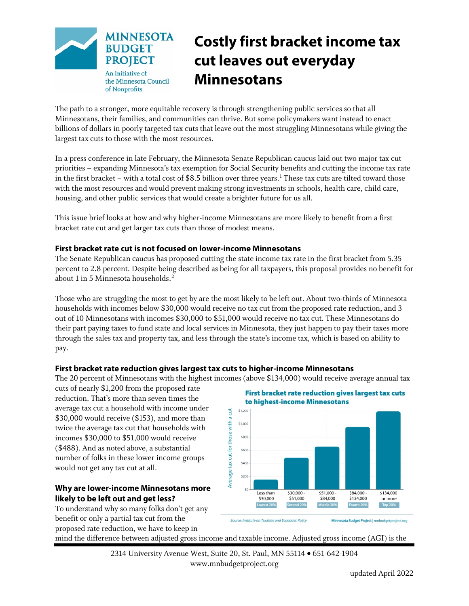

# **Costly first bracket income tax cut leaves out everyday Minnesotans**

The path to a stronger, more equitable recovery is through strengthening public services so that all Minnesotans, their families, and communities can thrive. But some policymakers want instead to enact billions of dollars in poorly targeted tax cuts that leave out the most struggling Minnesotans while giving the largest tax cuts to those with the most resources.

In a press conference in late February, the Minnesota Senate Republican caucus laid out two major tax cut priorities – expanding Minnesota's tax exemption for Social Security benefits and cutting the income tax rate in the first bracket – with a total cost of \$8.5 billion over three years.<sup>[1](#page-2-0)</sup> These tax cuts are tilted toward those with the most resources and would prevent making strong investments in schools, health care, child care, housing, and other public services that would create a brighter future for us all.

This issue brief looks at how and why higher-income Minnesotans are more likely to benefit from a first bracket rate cut and get larger tax cuts than those of modest means.

# **First bracket rate cut is not focused on lower-income Minnesotans**

The Senate Republican caucus has proposed cutting the state income tax rate in the first bracket from 5.35 percent to 2.8 percent. Despite being described as being for all taxpayers, this proposal provides no benefit for about 1 in 5 Minnesota households. [2](#page-2-1)

Those who are struggling the most to get by are the most likely to be left out. About two-thirds of Minnesota households with incomes below \$30,000 would receive no tax cut from the proposed rate reduction, and 3 out of 10 Minnesotans with incomes \$30,000 to \$51,000 would receive no tax cut. These Minnesotans do their part paying taxes to fund state and local services in Minnesota, they just happen to pay their taxes more through the sales tax and property tax, and less through the state's income tax, which is based on ability to pay.

# **First bracket rate reduction gives largest tax cuts to higher-income Minnesotans**

The 20 percent of Minnesotans with the highest incomes (above \$134,000) would receive average annual tax

cuts of nearly \$1,200 from the proposed rate reduction. That's more than seven times the average tax cut a household with income under \$30,000 would receive (\$153), and more than twice the average tax cut that households with incomes \$30,000 to \$51,000 would receive (\$488). And as noted above, a substantial number of folks in these lower income groups would not get any tax cut at all.

# **Why are lower-income Minnesotans more likely to be left out and get less?**

To understand why so many folks don't get any benefit or only a partial tax cut from the proposed rate reduction, we have to keep in





mind the difference between adjusted gross income and taxable income. Adjusted gross income (AGI) is the

2314 University Avenue West, Suite 20, St. Paul, MN 55114 • 651-642-1904 www.mnbudgetproject.org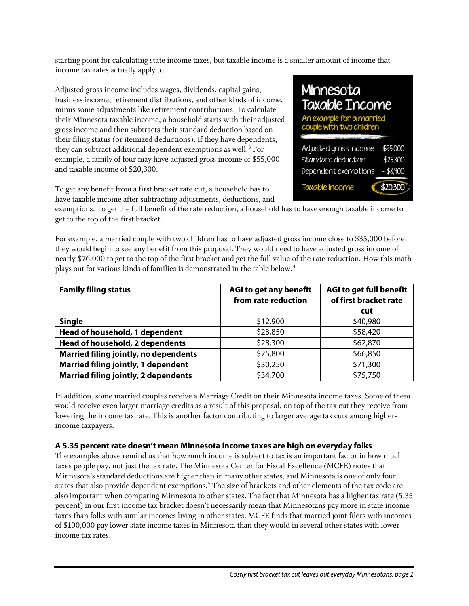starting point for calculating state income taxes, but taxable income is a smaller amount of income that income tax rates actually apply to.

Adjusted gross income includes wages, dividends, capital gains, business income, retirement distributions, and other kinds of income, minus some adjustments like retirement contributions. To calculate their Minnesota taxable income, a household starts with their adjusted gross income and then subtracts their standard deduction based on their filing status (or itemized deductions). If they have dependents, they can subtract additional dependent exemptions as well. [3](#page-2-2) For example, a family of four may have adjusted gross income of \$55,000 and taxable income of \$20,300.

Minnesota **Taxable Income** An example for a married couple with two childr Adjusted gross income \$55,000 Standard deduction \$25,800 Dependent exemptions \$8.900 Taxable income \$20,300

To get any benefit from a first bracket rate cut, a household has to have taxable income after subtracting adjustments, deductions, and

exemptions. To get the full benefit of the rate reduction, a household has to have enough taxable income to get to the top of the first bracket.

For example, a married couple with two children has to have adjusted gross income close to \$35,000 before they would begin to see any benefit from this proposal. They would need to have adjusted gross income of nearly \$76,000 to get to the top of the first bracket and get the full value of the rate reduction. How this math plays out for various kinds of families is demonstrated in the table below.<sup>[4](#page-2-3)</sup>

| <b>Family filing status</b>                 | AGI to get any benefit<br>from rate reduction | AGI to get full benefit<br>of first bracket rate |
|---------------------------------------------|-----------------------------------------------|--------------------------------------------------|
|                                             |                                               | cut                                              |
| <b>Single</b>                               | \$12,900                                      | \$40,980                                         |
| Head of household, 1 dependent              | \$23,850                                      | \$58,420                                         |
| Head of household, 2 dependents             | \$28,300                                      | \$62,870                                         |
| Married filing jointly, no dependents       | \$25,800                                      | \$66,850                                         |
| <b>Married filing jointly, 1 dependent</b>  | \$30,250                                      | \$71,300                                         |
| <b>Married filing jointly, 2 dependents</b> | \$34,700                                      | \$75,750                                         |

In addition, some married couples receive a Marriage Credit on their Minnesota income taxes. Some of them would receive even larger marriage credits as a result of this proposal, on top of the tax cut they receive from lowering the income tax rate. This is another factor contributing to larger average tax cuts among higherincome taxpayers.

# **A 5.35 percent rate doesn't mean Minnesota income taxes are high on everyday folks**

The examples above remind us that how much income is subject to tax is an important factor in how much taxes people pay, not just the tax rate. The Minnesota Center for Fiscal Excellence (MCFE) notes that Minnesota's standard deductions are higher than in many other states, and Minnesota is one of only four states that also provide dependent exemptions.<sup>[5](#page-2-4)</sup> The size of brackets and other elements of the tax code are also important when comparing Minnesota to other states. The fact that Minnesota has a higher tax rate (5.35 percent) in our first income tax bracket doesn't necessarily mean that Minnesotans pay more in state income taxes than folks with similar incomes living in other states. MCFE finds that married joint filers with incomes of \$100,000 pay lower state income taxes in Minnesota than they would in several other states with lower income tax rates.